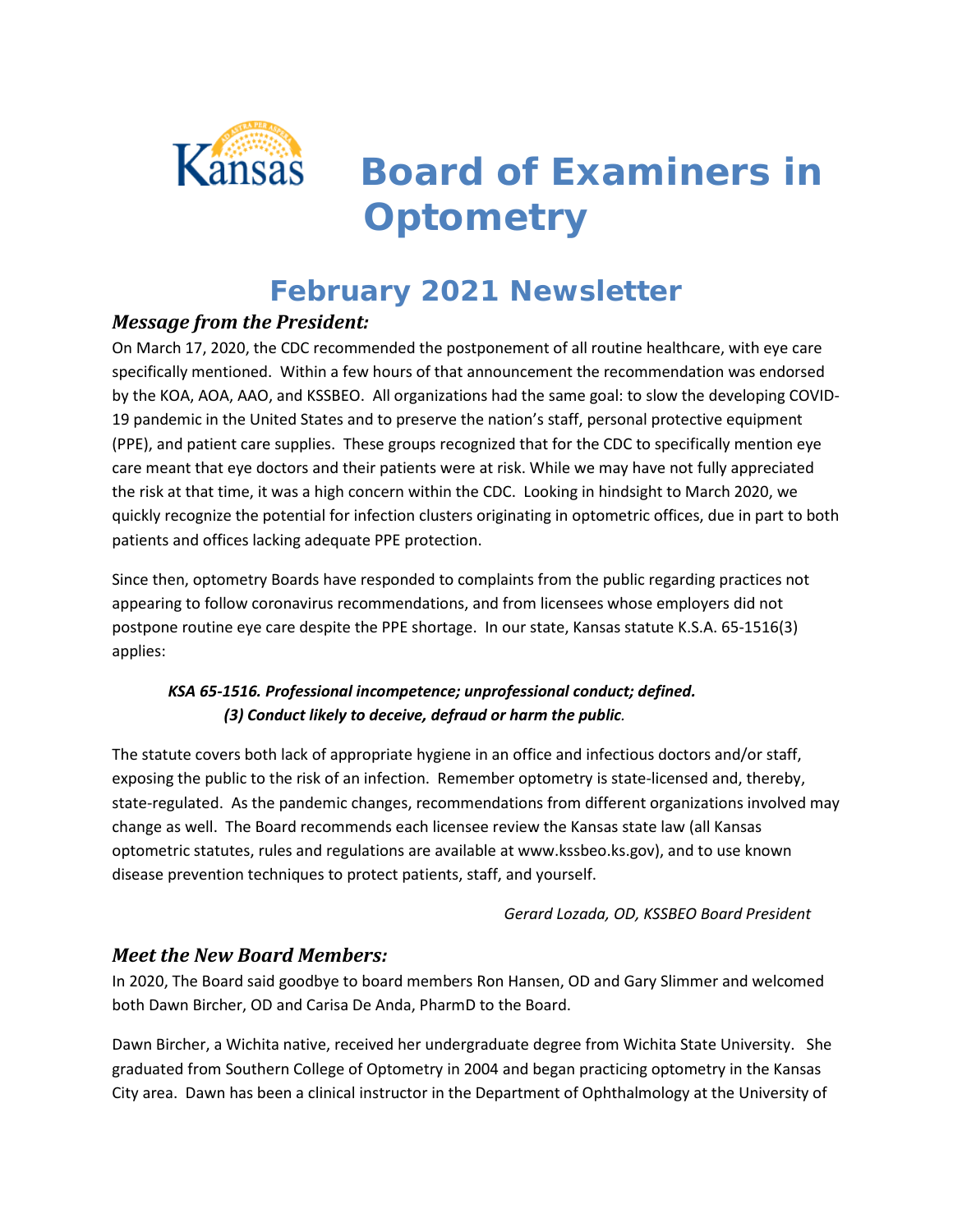

# *Board of Examiners in Optometry*

# **February 2021 Newsletter**

# *Message from the President:*

On March 17, 2020, the CDC recommended the postponement of all routine healthcare, with eye care specifically mentioned. Within a few hours of that announcement the recommendation was endorsed by the KOA, AOA, AAO, and KSSBEO. All organizations had the same goal: to slow the developing COVID-19 pandemic in the United States and to preserve the nation's staff, personal protective equipment (PPE), and patient care supplies. These groups recognized that for the CDC to specifically mention eye care meant that eye doctors and their patients were at risk. While we may have not fully appreciated the risk at that time, it was a high concern within the CDC. Looking in hindsight to March 2020, we quickly recognize the potential for infection clusters originating in optometric offices, due in part to both patients and offices lacking adequate PPE protection.

Since then, optometry Boards have responded to complaints from the public regarding practices not appearing to follow coronavirus recommendations, and from licensees whose employers did not postpone routine eye care despite the PPE shortage. In our state, Kansas statute K.S.A. 65-1516(3) applies:

### *KSA 65-1516. Professional incompetence; unprofessional conduct; defined. (3) Conduct likely to deceive, defraud or harm the public.*

The statute covers both lack of appropriate hygiene in an office and infectious doctors and/or staff, exposing the public to the risk of an infection. Remember optometry is state-licensed and, thereby, state-regulated. As the pandemic changes, recommendations from different organizations involved may change as well. The Board recommends each licensee review the Kansas state law (all Kansas optometric statutes, rules and regulations are available at www.kssbeo.ks.gov), and to use known disease prevention techniques to protect patients, staff, and yourself.

*Gerard Lozada, OD, KSSBEO Board President*

### *Meet the New Board Members:*

In 2020, The Board said goodbye to board members Ron Hansen, OD and Gary Slimmer and welcomed both Dawn Bircher, OD and Carisa De Anda, PharmD to the Board.

Dawn Bircher, a Wichita native, received her undergraduate degree from Wichita State University. She graduated from Southern College of Optometry in 2004 and began practicing optometry in the Kansas City area. Dawn has been a clinical instructor in the Department of Ophthalmology at the University of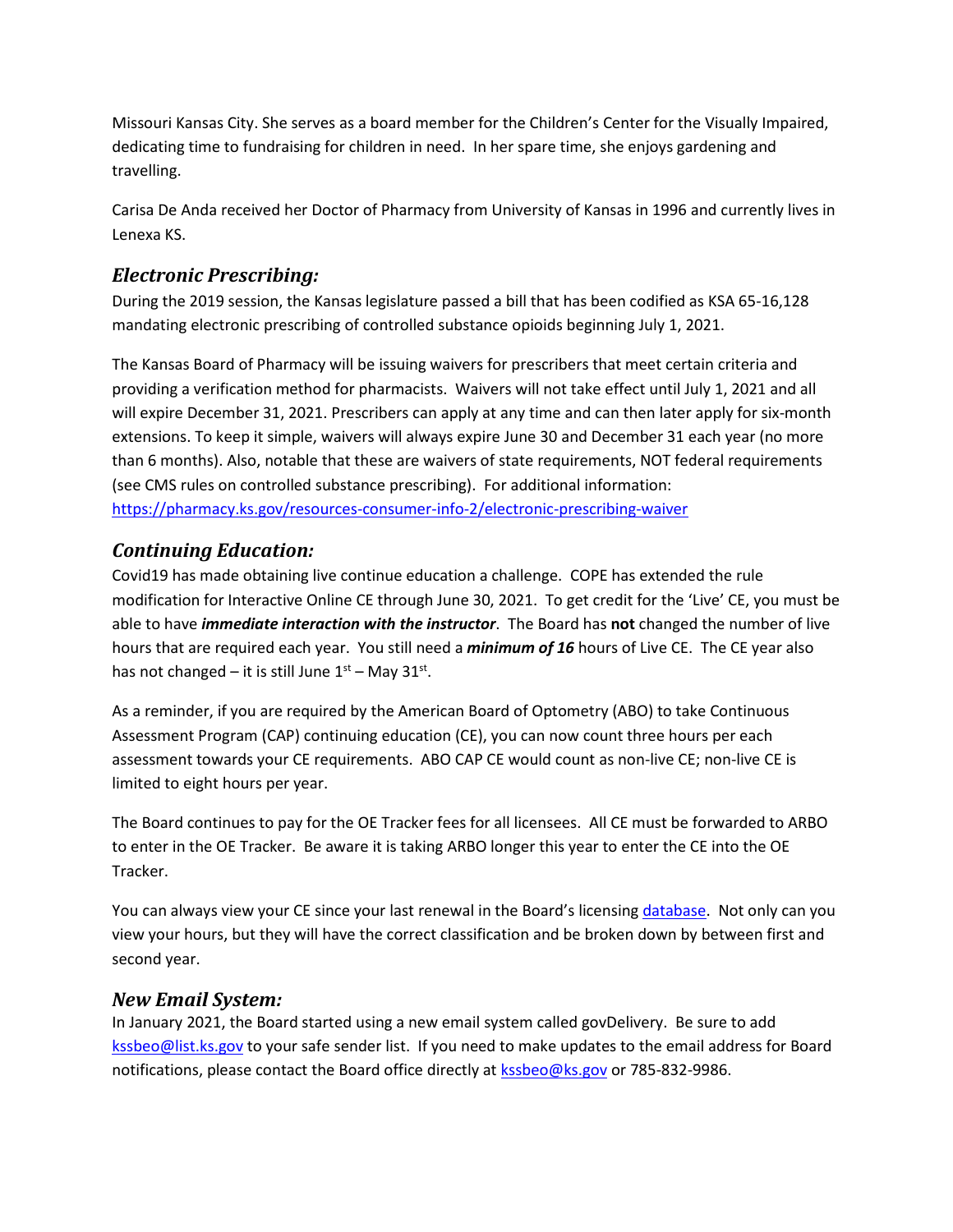Missouri Kansas City. She serves as a board member for the Children's Center for the Visually Impaired, dedicating time to fundraising for children in need. In her spare time, she enjoys gardening and travelling.

Carisa De Anda received her Doctor of Pharmacy from University of Kansas in 1996 and currently lives in Lenexa KS.

## *Electronic Prescribing:*

During the 2019 session, the Kansas legislature passed a bill that has been codified as KSA 65-16,128 mandating electronic prescribing of controlled substance opioids beginning July 1, 2021.

The Kansas Board of Pharmacy will be issuing waivers for prescribers that meet certain criteria and providing a verification method for pharmacists. Waivers will not take effect until July 1, 2021 and all will expire December 31, 2021. Prescribers can apply at any time and can then later apply for six-month extensions. To keep it simple, waivers will always expire June 30 and December 31 each year (no more than 6 months). Also, notable that these are waivers of state requirements, NOT federal requirements (see CMS rules on controlled substance prescribing). For additional information: <https://pharmacy.ks.gov/resources-consumer-info-2/electronic-prescribing-waiver>

# *Continuing Education:*

Covid19 has made obtaining live continue education a challenge. COPE has extended the rule modification for Interactive Online CE through June 30, 2021. To get credit for the 'Live' CE, you must be able to have *immediate interaction with the instructor*. The Board has **not** changed the number of live hours that are required each year. You still need a *minimum of 16* hours of Live CE. The CE year also has not changed – it is still June  $1<sup>st</sup>$  – May 31<sup>st</sup>.

As a reminder, if you are required by the American Board of Optometry (ABO) to take Continuous Assessment Program (CAP) continuing education (CE), you can now count three hours per each assessment towards your CE requirements. ABO CAP CE would count as non-live CE; non-live CE is limited to eight hours per year.

The Board continues to pay for the OE Tracker fees for all licensees. All CE must be forwarded to ARBO to enter in the OE Tracker. Be aware it is taking ARBO longer this year to enter the CE into the OE Tracker.

You can always view your CE since your last renewal in the Board's licensing [database.](https://www.kansas.gov/ssrv-optometry/login.html) Not only can you view your hours, but they will have the correct classification and be broken down by between first and second year.

#### *New Email System:*

In January 2021, the Board started using a new email system called govDelivery. Be sure to add [kssbeo@list.ks.gov](mailto:kssbeo@list.ks.gov) to your safe sender list. If you need to make updates to the email address for Board notifications, please contact the Board office directly at [kssbeo@ks.gov](mailto:kssbeo@ks.gov) or 785-832-9986.